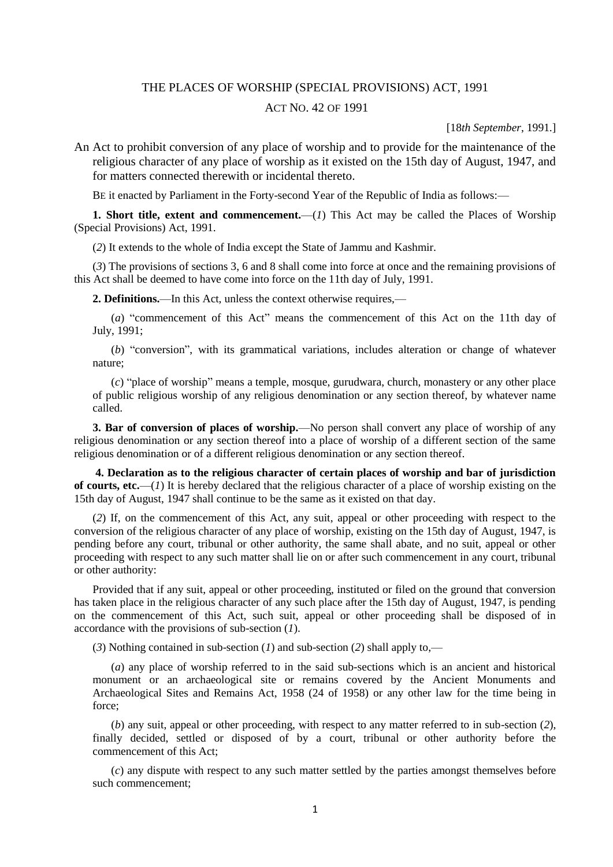## THE PLACES OF WORSHIP (SPECIAL PROVISIONS) ACT, 1991

## ACT NO. 42 OF 1991

[18*th September*, 1991.]

An Act to prohibit conversion of any place of worship and to provide for the maintenance of the religious character of any place of worship as it existed on the 15th day of August, 1947, and for matters connected therewith or incidental thereto.

BE it enacted by Parliament in the Forty-second Year of the Republic of India as follows:—

**1. Short title, extent and commencement.**—(*1*) This Act may be called the Places of Worship (Special Provisions) Act, 1991.

(*2*) It extends to the whole of India except the State of Jammu and Kashmir.

(*3*) The provisions of sections 3, 6 and 8 shall come into force at once and the remaining provisions of this Act shall be deemed to have come into force on the 11th day of July, 1991.

**2. Definitions.**—In this Act, unless the context otherwise requires,—

(*a*) "commencement of this Act" means the commencement of this Act on the 11th day of July, 1991;

(*b*) "conversion", with its grammatical variations, includes alteration or change of whatever nature;

(*c*) "place of worship" means a temple, mosque, gurudwara, church, monastery or any other place of public religious worship of any religious denomination or any section thereof, by whatever name called.

**3. Bar of conversion of places of worship.**—No person shall convert any place of worship of any religious denomination or any section thereof into a place of worship of a different section of the same religious denomination or of a different religious denomination or any section thereof.

**4. Declaration as to the religious character of certain places of worship and bar of jurisdiction of courts, etc.**—(*1*) It is hereby declared that the religious character of a place of worship existing on the 15th day of August, 1947 shall continue to be the same as it existed on that day.

(*2*) If, on the commencement of this Act, any suit, appeal or other proceeding with respect to the conversion of the religious character of any place of worship, existing on the 15th day of August, 1947, is pending before any court, tribunal or other authority, the same shall abate, and no suit, appeal or other proceeding with respect to any such matter shall lie on or after such commencement in any court, tribunal or other authority:

Provided that if any suit, appeal or other proceeding, instituted or filed on the ground that conversion has taken place in the religious character of any such place after the 15th day of August, 1947, is pending on the commencement of this Act, such suit, appeal or other proceeding shall be disposed of in accordance with the provisions of sub-section (*1*).

(*3*) Nothing contained in sub-section (*1*) and sub-section (*2*) shall apply to,—

(*a*) any place of worship referred to in the said sub-sections which is an ancient and historical monument or an archaeological site or remains covered by the Ancient Monuments and Archaeological Sites and Remains Act, 1958 (24 of 1958) or any other law for the time being in force;

(*b*) any suit, appeal or other proceeding, with respect to any matter referred to in sub-section (*2*), finally decided, settled or disposed of by a court, tribunal or other authority before the commencement of this Act;

(*c*) any dispute with respect to any such matter settled by the parties amongst themselves before such commencement;